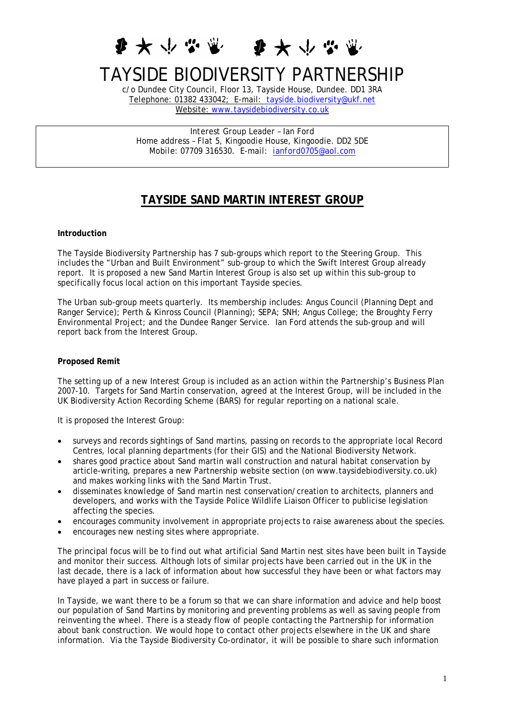♪ ★ ↓ ☆  $\bm{F} \bm{\star} \vee \bm{F}$ 

# TAYSIDE BIODIVERSITY PARTNERSHIP

c/o Dundee City Council, Floor 13, Tayside House, Dundee. DD1 3RA Telephone: 01382 433042; E-mail: [tayside.biodiversity@ukf.net](mailto:tayside.biodiversity@ukf.net) Website: [www.taysidebiodiversity.co.uk](http://www.taysidebiodiversity.co.uk/)

*Interest Group Leader – Ian Ford Home address – Flat 5, Kingoodie House, Kingoodie. DD2 5DE Mobile: 07709 316530. E-mail: [ianford0705@aol.com](mailto:ianford0705@aol.com)* 

# **TAYSIDE SAND MARTIN INTEREST GROUP**

#### **Introduction**

The Tayside Biodiversity Partnership has 7 sub-groups which report to the Steering Group. This includes the "Urban and Built Environment" sub-group to which the Swift Interest Group already report. It is proposed a new Sand Martin Interest Group is also set up within this sub-group to specifically focus local action on this important Tayside species.

The Urban sub-group meets quarterly. Its membership includes: Angus Council (Planning Dept and Ranger Service); Perth & Kinross Council (Planning); SEPA; SNH; Angus College; the Broughty Ferry Environmental Project; and the Dundee Ranger Service. Ian Ford attends the sub-group and will report back from the Interest Group.

## **Proposed Remit**

The setting up of a new Interest Group is included as an action within the Partnership's Business Plan 2007-10. Targets for Sand Martin conservation, agreed at the Interest Group, will be included in the UK Biodiversity Action Recording Scheme (BARS) for regular reporting on a national scale.

It is proposed the Interest Group:

- surveys and records sightings of Sand martins, passing on records to the appropriate local Record Centres, local planning departments (for their GIS) and the National Biodiversity Network.
- shares good practice about Sand martin wall construction and natural habitat conservation by article-writing, prepares a new Partnership website section (on www.taysidebiodiversity.co.uk) and makes working links with the Sand Martin Trust.
- disseminates knowledge of Sand martin nest conservation/creation to architects, planners and developers, and works with the Tayside Police Wildlife Liaison Officer to publicise legislation affecting the species.
- encourages community involvement in appropriate projects to raise awareness about the species.
- encourages new nesting sites where appropriate.

The principal focus will be to find out what artificial Sand Martin nest sites have been built in Tayside and monitor their success. Although lots of similar projects have been carried out in the UK in the last decade, there is a lack of information about how successful they have been or what factors may have played a part in success or failure.

In Tayside, we want there to be a forum so that we can share information and advice and help boost our population of Sand Martins by monitoring and preventing problems as well as saving people from reinventing the wheel. There is a steady flow of people contacting the Partnership for information about bank construction. We would hope to contact other projects elsewhere in the UK and share information. Via the Tayside Biodiversity Co-ordinator, it will be possible to share such information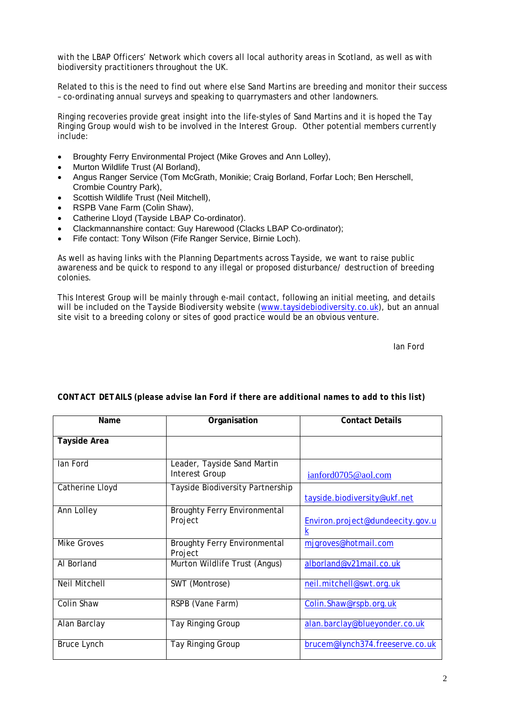with the LBAP Officers' Network which covers all local authority areas in Scotland, as well as with biodiversity practitioners throughout the UK.

Related to this is the need to find out where else Sand Martins are breeding and monitor their success – co-ordinating annual surveys and speaking to quarrymasters and other landowners.

Ringing recoveries provide great insight into the life-styles of Sand Martins and it is hoped the Tay Ringing Group would wish to be involved in the Interest Group. Other potential members currently include:

- Broughty Ferry Environmental Project (Mike Groves and Ann Lolley),
- Murton Wildlife Trust (Al Borland),
- Angus Ranger Service (Tom McGrath, Monikie; Craig Borland, Forfar Loch; Ben Herschell, Crombie Country Park),
- Scottish Wildlife Trust (Neil Mitchell),
- RSPB Vane Farm (Colin Shaw),
- Catherine Lloyd (Tayside LBAP Co-ordinator).
- Clackmannanshire contact: Guy Harewood (Clacks LBAP Co-ordinator);
- Fife contact: Tony Wilson (Fife Ranger Service, Birnie Loch).

As well as having links with the Planning Departments across Tayside, we want to raise public awareness and be quick to respond to any illegal or proposed disturbance/ destruction of breeding colonies.

This Interest Group will be mainly through e-mail contact, following an initial meeting, and details will be included on the Tayside Biodiversity website ([www.taysidebiodiversity.co.uk](http://www.taysidebiodiversity.co.uk/)), but an annual site visit to a breeding colony or sites of good practice would be an obvious venture.

Ian Ford

| Name                | Organisation                                         | <b>Contact Details</b>                |
|---------------------|------------------------------------------------------|---------------------------------------|
| <b>Tayside Area</b> |                                                      |                                       |
|                     |                                                      |                                       |
| lan Ford            | Leader, Tayside Sand Martin<br><b>Interest Group</b> | $i$ anford $0705@$ aol.com            |
| Catherine Lloyd     | Tayside Biodiversity Partnership                     | tayside.biodiversity@ukf.net          |
| Ann Lolley          | <b>Broughty Ferry Environmental</b><br>Project       | Environ.project@dundeecity.gov.u<br>k |
| <b>Mike Groves</b>  | <b>Broughty Ferry Environmental</b><br>Project       | mjgroves@hotmail.com                  |
| Al Borland          | Murton Wildlife Trust (Angus)                        | alborland@v21mail.co.uk               |
| Neil Mitchell       | SWT (Montrose)                                       | neil.mitchell@swt.org.uk              |
| Colin Shaw          | RSPB (Vane Farm)                                     | Colin.Shaw@rspb.org.uk                |
| Alan Barclay        | Tay Ringing Group                                    | alan.barclay@blueyonder.co.uk         |
| <b>Bruce Lynch</b>  | Tay Ringing Group                                    | brucem@lynch374.freeserve.co.uk       |

## *CONTACT DETAILS (please advise Ian Ford if there are additional names to add to this list)*